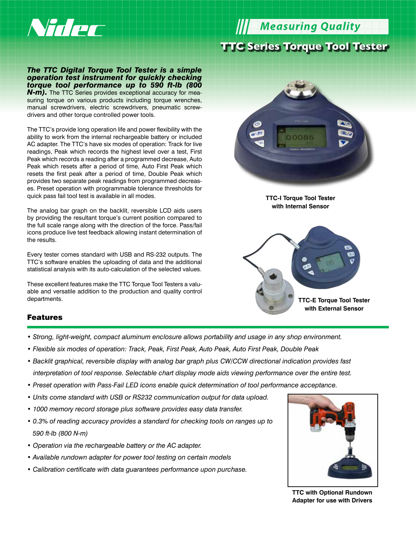

**Measuring Quality C Series Torque Tool Tester** 

*The TTC Digital Torque Tool Tester is a simple operation test instrument for quickly checking torque tool performance up to 590 ft-lb (800*  **N-m).** The TTC Series provides exceptional accuracy for measuring torque on various products including torque wrenches, manual screwdrivers, electric screwdrivers, pneumatic screwdrivers and other torque controlled power tools.

The TTC's provide long operation life and power flexibility with the ability to work from the internal rechargeable battery or included AC adapter. The TTC's have six modes of operation: Track for live readings, Peak which records the highest level over a test, First Peak which records a reading after a programmed decrease, Auto Peak which resets after a period of time, Auto First Peak which resets the first peak after a period of time, Double Peak which provides two separate peak readings from programmed decreases. Preset operation with programmable tolerance thresholds for quick pass fail tool test is available in all modes.

The analog bar graph on the backlit, reversible LCD aids users by providing the resultant torque's current position compared to the full scale range along with the direction of the force. Pass/fail icons produce live test feedback allowing instant determination of the results.

Every tester comes standard with USB and RS-232 outputs. The TTC's software enables the uploading of data and the additional statistical analysis with its auto-calculation of the selected values.

These excellent features make the TTC Torque Tool Testers a valuable and versatile addition to the production and quality control departments.



**TTC-I Torque Tool Tester with Internal Sensor**



## Features

- *Strong, light-weight, compact aluminum enclosure allows portability and usage in any shop environment.*
- *Flexible six modes of operation: Track, Peak, First Peak, Auto Peak, Auto First Peak, Double Peak*
- *Backlit graphical, reversible display with analog bar graph plus CW/CCW directional indication provides fast interpretation of tool response. Selectable chart display mode aids viewing performance over the entire test.*
- *Preset operation with Pass-Fail LED icons enable quick determination of tool performance acceptance.*
- *Units come standard with USB or RS232 communication output for data upload.*
- *1000 memory record storage plus software provides easy data transfer.*
- *0.3% of reading accuracy provides a standard for checking tools on ranges up to 590 ft-lb (800 N-m)*
- *Operation via the rechargeable battery or the AC adapter.*
- *Available rundown adapter for power tool testing on certain models*
- *Calibration certificate with data guarantees performance upon purchase.*



**TTC with Optional Rundown Adapter for use with Drivers**